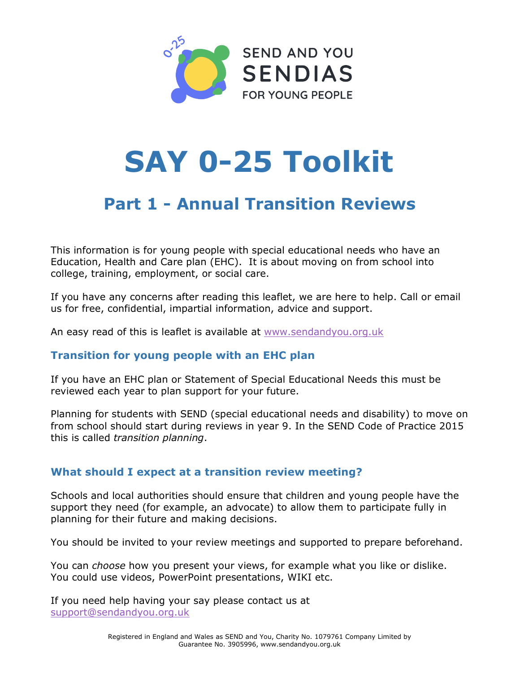

# **SAY 0**-25 Toolkit

# Part 1 - Annual Transition Reviews

This information is for young people with special educational needs who have an Education, Health and Care plan (EHC). It is about moving on from school into college, training, employment, or social care.

If you have any concerns after reading this leaflet, we are here to help. Call or email us for free, confidential, impartial information, advice and support.

An easy read of this is leaflet is available at www.[sendandyou](http://www.sendandyou.org.uk).org.uk

# Transition for young people with an EHC plan

If you have an EHC plan or Statement of Special Educational Needs this must be reviewed each year to plan support for your future.

Planning for students with SEND (special educational needs and disability) to move on from school should start during reviews in year 9. In the SEND Code of Practice 2015 this is called transition planning.

# What should I expect at a transition review meeting?

Schools and local authorities should ensure that children and young people have the support they need (for example, an advocate) to allow them to participate fully in planning for their future and making decisions.

You should be invited to your review meetings and supported to prepare beforehand.

You can *choose* how you present your views, for example what you like or dislike. You could use videos, PowerPoint presentations, WIKI etc.

If you need help having your say please contact us at support@[sendandyou](mailto:support@sendandyou.org.uk).org.uk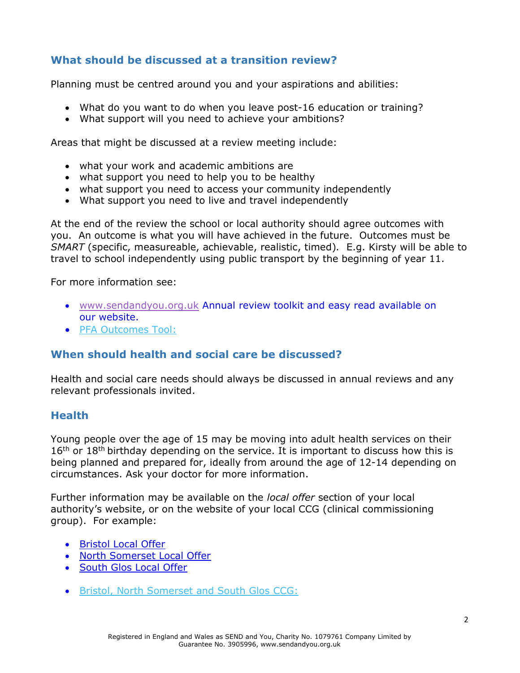# What should be discussed at a transition review?

Planning must be centred around you and your aspirations and abilities:

- What do you want to do when you leave post-16 education or training?
- What support will you need to achieve your ambitions?

Areas that might be discussed at a review meeting include:

- what your work and academic ambitions are
- what support you need to help you to be healthy
- what support you need to access your community independently
- What support you need to live and travel independently

At the end of the review the school or local authority should agree outcomes with you. An outcome is what you will have achieved in the future. Outcomes must be SMART (specific, measureable, achievable, realistic, timed). E.g. Kirsty will be able to travel to school independently using public transport by the beginning of year 11.

For more information see:

- www.[sendandyou](http://www.sendandyou.org.uk).org.uk Annual review toolkit and easy read available on our website.
- PFA Outcomes Tool:

# When should health and social care be discussed?

Health and social care needs should always be discussed in annual reviews and any relevant professionals invited.

#### Health

Young people over the age of 15 may be moving into adult health services on their  $16<sup>th</sup>$  or  $18<sup>th</sup>$  birthday depending on the service. It is important to discuss how this is being planned and prepared for, ideally from around the age of 12-14 depending on circumstances. Ask your doctor for more information.

Further information may be available on the local offer section of your local authority's website, or on the website of your local CCG (clinical commissioning group). For example:

- Bristol Local Offer
- North Somerset Local Offer
- South Glos Local Offer
- Bristol, North Somerset and South Glos CCG: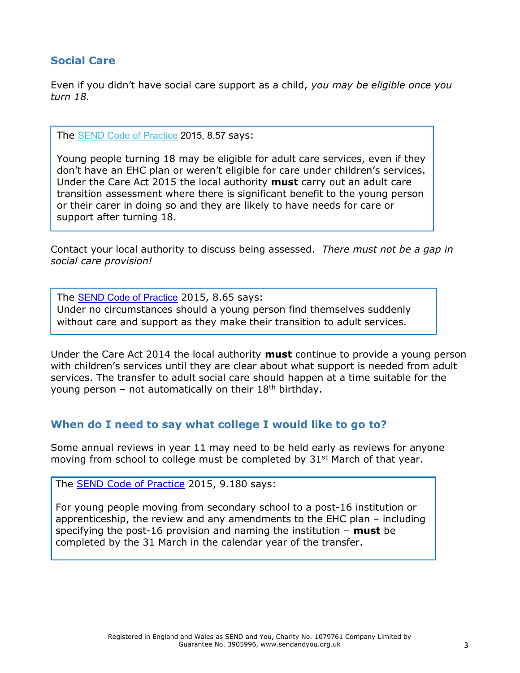# Social Care

Even if you didn't have social care support as a child, you may be eligible once you turn 18.

The SEND Code of Practice 2015, 8.57 says:

Young people turning 18 may be eligible for adult care services, even if they don't have an EHC plan or weren't eligible for care under children's services. Under the Care Act 2015 the local authority must carry out an adult care transition assessment where there is significant benefit to the young person or their carer in doing so and they are likely to have needs for care or support after turning 18.

Contact your local authority to discuss being assessed. There must not be a gap in social care provision!

The SEND Code of Practice 2015, 8.65 says: Under no circumstances should a young person find themselves suddenly without care and support as they make their transition to adult services.

Under the Care Act 2014 the local authority **must** continue to provide a young person with children's services until they are clear about what support is needed from adult services. The transfer to adult social care should happen at a time suitable for the young person – not automatically on their  $18<sup>th</sup>$  birthday.

# When do I need to say what college I would like to go to?

Some annual reviews in year 11 may need to be held early as reviews for anyone moving from school to college must be completed by 31<sup>st</sup> March of that year.

The SEND Code of Practice 2015, 9.180 says:

For young people moving from secondary school to a post-16 institution or apprenticeship, the review and any amendments to the EHC plan – including specifying the post-16 provision and naming the institution  $-$  must be completed by the 31 March in the calendar year of the transfer.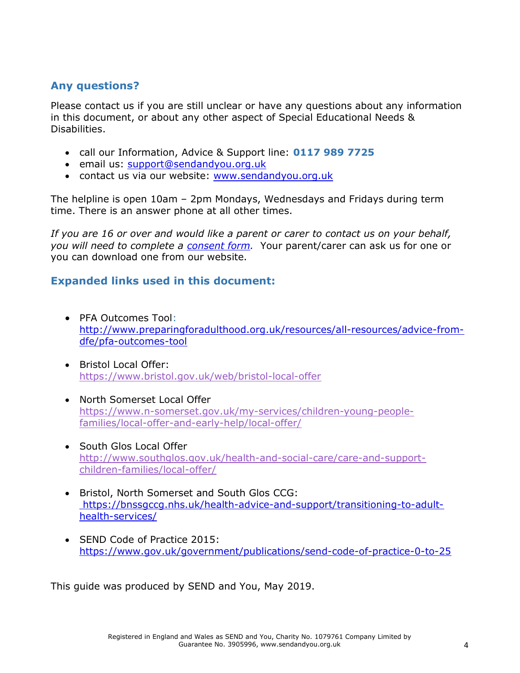# Any questions?

Please contact us if you are still unclear or have any questions about any information in this document, or about any other aspect of Special Educational Needs & Disabilities.

- call our Information, Advice & Support line: 0117 989 7725
- email us: support@[sendandyou](mailto:support@sendandyou.org.uk).org.uk
- contact us via our website: www.[sendandyou](http://www.sendandyou.org.uk).org.uk

The helpline is open 10am – 2pm Mondays, Wednesdays and Fridays during term time. There is an answer phone at all other times.

If you are 16 or over and would like a parent or carer to contact us on your behalf, you will need to complete a consent form. Your parent/carer can ask us for one or you can download one from our website.

# Expanded links used in this document:

- PFA Outcomes Tool: [http://www.preparingforadulthood.org.uk/resources/all-resources/advice-from](http://www.preparingforadulthood.org.uk/resources/all-resources/advice-from-dfe/pfa-outcomes-tool)dfe/[pfa-outcomes-tool](http://www.preparingforadulthood.org.uk/resources/all-resources/advice-from-dfe/pfa-outcomes-tool)
- Bristol Local Offer: <https://www.bristol.gov.uk/web/bristol-local-offer>
- North Somerset Local Offer [https://www.n-somerset.gov.uk/my-services/children-young-people](https://www.n-somerset.gov.uk/my-services/children-young-people-families/local-offer-and-early-help/local-offer/)families[/local-offer-and-early-help/local-offer/](https://www.n-somerset.gov.uk/my-services/children-young-people-families/local-offer-and-early-help/local-offer/)
- South Glos Local Offer [http://www.southglos.gov.uk/health-and-social-care/care-and-support](http://www.southglos.gov.uk/health-and-social-care/care-and-support-children-families/local-offer/)children-[families/local-offer/](http://www.southglos.gov.uk/health-and-social-care/care-and-support-children-families/local-offer/)
- Bristol, North Somerset and South Glos CCG: [https://bnssgccg.nhs.uk/health-advice-and-support/transitioning-to-adult](https://bnssgccg.nhs.uk/health-advice-and-support/transitioning-to-adult-health-services/)health-[services/](https://bnssgccg.nhs.uk/health-advice-and-support/transitioning-to-adult-health-services/)
- SEND Code of Practice 2015: <https://www.gov.uk/government/publications/send-code-of-practice-0-to-25>

This guide was produced by SEND and You, May 2019.